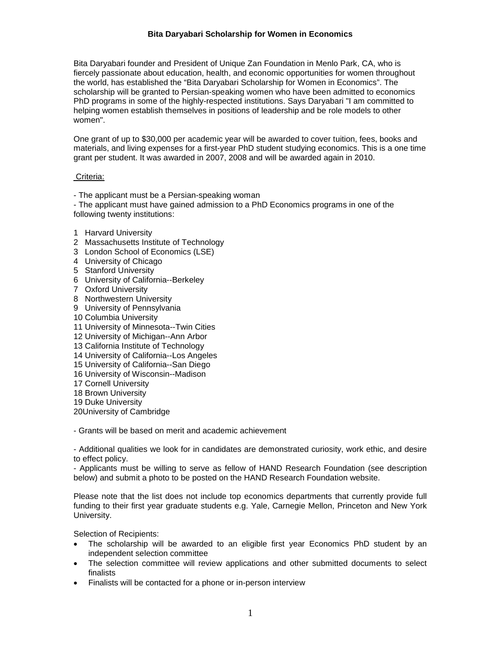Bita Daryabari founder and President of Unique Zan Foundation in Menlo Park, CA, who is fiercely passionate about education, health, and economic opportunities for women throughout the world, has established the "Bita Daryabari Scholarship for Women in Economics". The scholarship will be granted to Persian-speaking women who have been admitted to economics PhD programs in some of the highly-respected institutions. Says Daryabari "I am committed to helping women establish themselves in positions of leadership and be role models to other women".

One grant of up to \$30,000 per academic year will be awarded to cover tuition, fees, books and materials, and living expenses for a first-year PhD student studying economics. This is a one time grant per student. It was awarded in 2007, 2008 and will be awarded again in 2010.

#### Criteria:

- The applicant must be a Persian-speaking woman

- The applicant must have gained admission to a PhD Economics programs in one of the following twenty institutions:

- 1 Harvard University
- 2 Massachusetts Institute of Technology
- 3 London School of Economics (LSE)
- 4 University of Chicago
- 5 Stanford University
- 6 University of California--Berkeley
- 7 Oxford University
- 8 Northwestern University
- 9 University of Pennsylvania
- 10 Columbia University
- 11 University of Minnesota--Twin Cities
- 12 University of Michigan--Ann Arbor
- 13 California Institute of Technology
- 14 University of California--Los Angeles
- 15 University of California--San Diego
- 16 University of Wisconsin--Madison
- 17 Cornell University
- 18 Brown University
- 19 Duke University
- 20University of Cambridge

- Grants will be based on merit and academic achievement

- Additional qualities we look for in candidates are demonstrated curiosity, work ethic, and desire to effect policy.

- Applicants must be willing to serve as fellow of HAND Research Foundation (see description below) and submit a photo to be posted on the HAND Research Foundation website.

Please note that the list does not include top economics departments that currently provide full funding to their first year graduate students e.g. Yale, Carnegie Mellon, Princeton and New York University.

Selection of Recipients:

- The scholarship will be awarded to an eligible first year Economics PhD student by an independent selection committee
- The selection committee will review applications and other submitted documents to select finalists
- Finalists will be contacted for a phone or in-person interview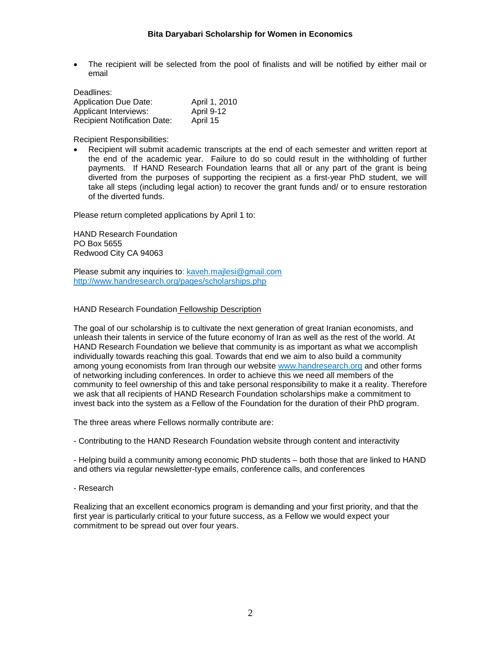The recipient will be selected from the pool of finalists and will be notified by either mail or email

| Deadlines:                          |               |
|-------------------------------------|---------------|
| <b>Application Due Date:</b>        | April 1, 2010 |
| Applicant Interviews:               | April 9-12    |
| <b>Recipient Notification Date:</b> | April 15      |

Recipient Responsibilities:

 Recipient will submit academic transcripts at the end of each semester and written report at the end of the academic year. Failure to do so could result in the withholding of further payments. If HAND Research Foundation learns that all or any part of the grant is being diverted from the purposes of supporting the recipient as a first-year PhD student, we will take all steps (including legal action) to recover the grant funds and/ or to ensure restoration of the diverted funds.

Please return completed applications by April 1 to:

HAND Research Foundation PO Box 5655 Redwood City CA 94063

Please submit any inquiries to: kaveh.majlesi@gmail.com http://www.handresearch.org/pages/scholarships.php

HAND Research Foundation Fellowship Description

The goal of our scholarship is to cultivate the next generation of great Iranian economists, and unleash their talents in service of the future economy of Iran as well as the rest of the world. At HAND Research Foundation we believe that community is as important as what we accomplish individually towards reaching this goal. Towards that end we aim to also build a community among young economists from Iran through our website www.handresearch.org and other forms of networking including conferences. In order to achieve this we need all members of the community to feel ownership of this and take personal responsibility to make it a reality. Therefore we ask that all recipients of HAND Research Foundation scholarships make a commitment to invest back into the system as a Fellow of the Foundation for the duration of their PhD program.

The three areas where Fellows normally contribute are:

- Contributing to the HAND Research Foundation website through content and interactivity

- Helping build a community among economic PhD students – both those that are linked to HAND and others via regular newsletter-type emails, conference calls, and conferences

- Research

Realizing that an excellent economics program is demanding and your first priority, and that the first year is particularly critical to your future success, as a Fellow we would expect your commitment to be spread out over four years.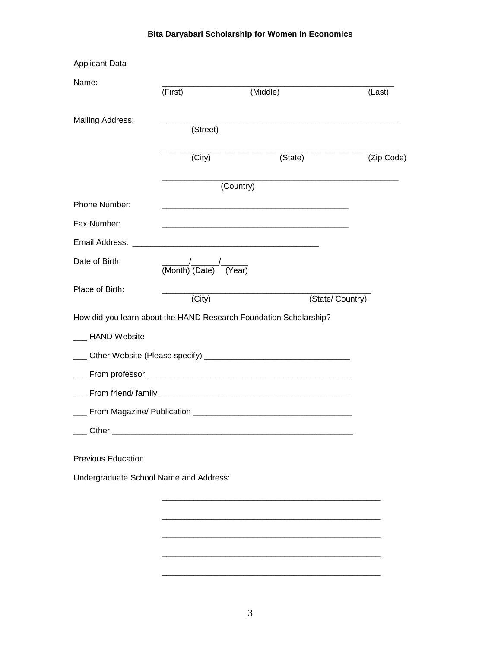| <b>Applicant Data</b>                  |                                                 |                                                                                                                      |                  |
|----------------------------------------|-------------------------------------------------|----------------------------------------------------------------------------------------------------------------------|------------------|
| Name:                                  | (First)                                         | (Middle)                                                                                                             | (Last)           |
| Mailing Address:                       | (Street)                                        | <u> 1989 - Johann Barbara, martxa alemaniar argumento de la contrada de la contrada de la contrada de la contrad</u> |                  |
|                                        |                                                 |                                                                                                                      |                  |
|                                        | (City)                                          | (State)                                                                                                              | (Zip Code)       |
|                                        |                                                 | <u> 1989 - Johann Barbara, margaret eta idazlea (h. 1989).</u><br>(Country)                                          |                  |
| Phone Number:                          |                                                 | <u> 1980 - Johann Barn, mars an t-Amerikaansk politiker (* 1908)</u>                                                 |                  |
| Fax Number:                            |                                                 | <u> 1980 - Johann John Stone, markin fan de Amerikaansk kommunister (* 1950)</u>                                     |                  |
|                                        |                                                 |                                                                                                                      |                  |
| Date of Birth:                         | $\frac{1}{\text{(Month)} \text{(Date)}}$ (Year) |                                                                                                                      |                  |
| Place of Birth:                        |                                                 |                                                                                                                      |                  |
|                                        | (City)                                          |                                                                                                                      | (State/ Country) |
|                                        |                                                 | How did you learn about the HAND Research Foundation Scholarship?                                                    |                  |
| ___ HAND Website                       |                                                 |                                                                                                                      |                  |
|                                        |                                                 |                                                                                                                      |                  |
|                                        |                                                 |                                                                                                                      |                  |
|                                        |                                                 |                                                                                                                      |                  |
|                                        |                                                 |                                                                                                                      |                  |
| Other                                  |                                                 |                                                                                                                      |                  |
| <b>Previous Education</b>              |                                                 |                                                                                                                      |                  |
| Undergraduate School Name and Address: |                                                 |                                                                                                                      |                  |
|                                        |                                                 |                                                                                                                      |                  |
|                                        |                                                 |                                                                                                                      |                  |
|                                        |                                                 |                                                                                                                      |                  |
|                                        |                                                 |                                                                                                                      |                  |
|                                        |                                                 |                                                                                                                      |                  |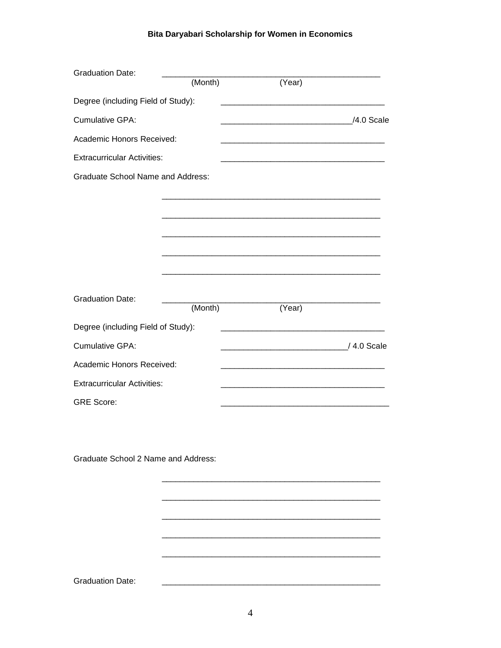| <b>Graduation Date:</b>                  |         |                         |  |
|------------------------------------------|---------|-------------------------|--|
|                                          | (Month) | (Year)                  |  |
| Degree (including Field of Study):       |         |                         |  |
| <b>Cumulative GPA:</b>                   |         | /4.0 Scale / /4.0 Scale |  |
| Academic Honors Received:                |         |                         |  |
| <b>Extracurricular Activities:</b>       |         |                         |  |
| <b>Graduate School Name and Address:</b> |         |                         |  |
|                                          |         |                         |  |
|                                          |         |                         |  |
|                                          |         |                         |  |
|                                          |         |                         |  |
|                                          |         |                         |  |
|                                          |         |                         |  |
| <b>Graduation Date:</b>                  | (Month) | (Year)                  |  |
| Degree (including Field of Study):       |         |                         |  |
| <b>Cumulative GPA:</b>                   |         |                         |  |
| Academic Honors Received:                |         |                         |  |
| <b>Extracurricular Activities:</b>       |         |                         |  |
| <b>GRE Score:</b>                        |         |                         |  |
|                                          |         |                         |  |

Graduate School 2 Name and Address:

**Graduation Date:** 

 $\frac{1}{2} \left( \frac{1}{2} \right) \left( \frac{1}{2} \right) \left( \frac{1}{2} \right) \left( \frac{1}{2} \right) \left( \frac{1}{2} \right) \left( \frac{1}{2} \right) \left( \frac{1}{2} \right) \left( \frac{1}{2} \right) \left( \frac{1}{2} \right) \left( \frac{1}{2} \right) \left( \frac{1}{2} \right) \left( \frac{1}{2} \right) \left( \frac{1}{2} \right) \left( \frac{1}{2} \right) \left( \frac{1}{2} \right) \left( \frac{1}{2} \right) \left( \frac$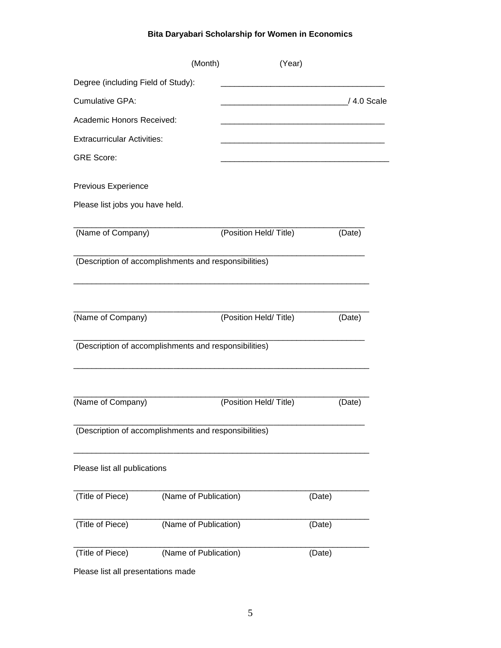|                                                       | (Month)               | (Year)                |        |             |  |
|-------------------------------------------------------|-----------------------|-----------------------|--------|-------------|--|
| Degree (including Field of Study):                    |                       |                       |        |             |  |
| <b>Cumulative GPA:</b>                                |                       |                       |        | / 4.0 Scale |  |
| Academic Honors Received:                             |                       |                       |        |             |  |
| <b>Extracurricular Activities:</b>                    |                       |                       |        |             |  |
| <b>GRE Score:</b>                                     |                       |                       |        |             |  |
| Previous Experience                                   |                       |                       |        |             |  |
| Please list jobs you have held.                       |                       |                       |        |             |  |
| (Name of Company)                                     |                       | (Position Held/Title) |        | (Date)      |  |
| (Description of accomplishments and responsibilities) |                       |                       |        |             |  |
| (Name of Company)                                     |                       | (Position Held/Title) |        | (Date)      |  |
| (Description of accomplishments and responsibilities) |                       |                       |        |             |  |
| (Name of Company)                                     |                       | (Position Held/Title) |        | (Date)      |  |
| (Description of accomplishments and responsibilities) |                       |                       |        |             |  |
| Please list all publications                          |                       |                       |        |             |  |
| (Title of Piece)                                      | (Name of Publication) |                       | (Date) |             |  |
| (Title of Piece)                                      | (Name of Publication) |                       | (Date) |             |  |
| (Title of Piece)                                      | (Name of Publication) |                       | (Date) |             |  |
| Please list all presentations made                    |                       |                       |        |             |  |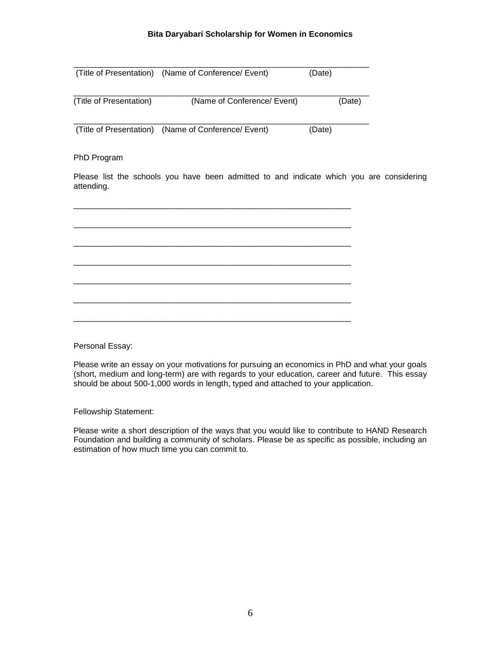|                         | (Title of Presentation) (Name of Conference/ Event) | (Date) |        |
|-------------------------|-----------------------------------------------------|--------|--------|
| (Title of Presentation) | (Name of Conference/ Event)                         |        | (Date) |
| (Title of Presentation) | (Name of Conference/ Event)                         | (Date) |        |

### PhD Program

Please list the schools you have been admitted to and indicate which you are considering attending.

Personal Essay:

Please write an essay on your motivations for pursuing an economics in PhD and what your goals (short, medium and long-term) are with regards to your education, career and future. This essay should be about 500-1,000 words in length, typed and attached to your application.

Fellowship Statement:

Please write a short description of the ways that you would like to contribute to HAND Research Foundation and building a community of scholars. Please be as specific as possible, including an estimation of how much time you can commit to.